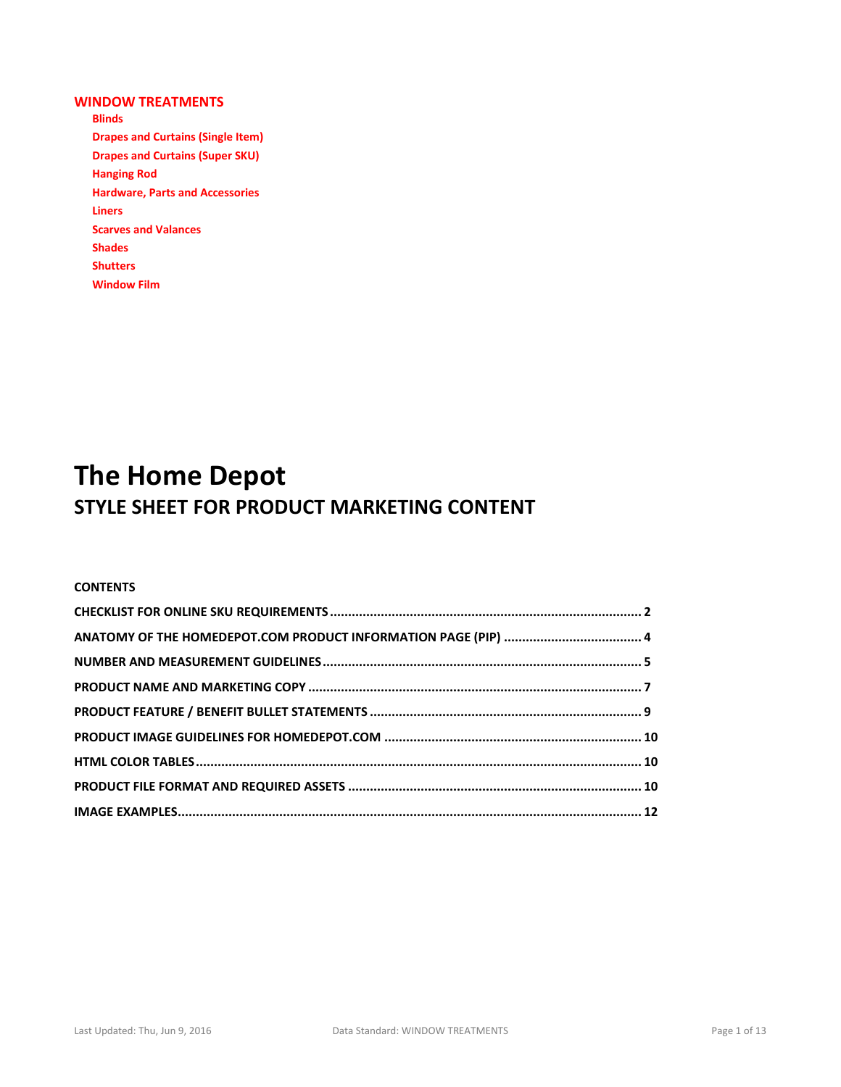## **WINDOW TREATMENTS**

**Blinds Drapes and Curtains (Single Item) Drapes and Curtains (Super SKU) Hanging Rod Hardware, Parts and Accessories Liners Scarves and Valances Shades Shutters Window Film**

# **The Home Depot STYLE SHEET FOR PRODUCT MARKETING CONTENT**

## **CONTENTS**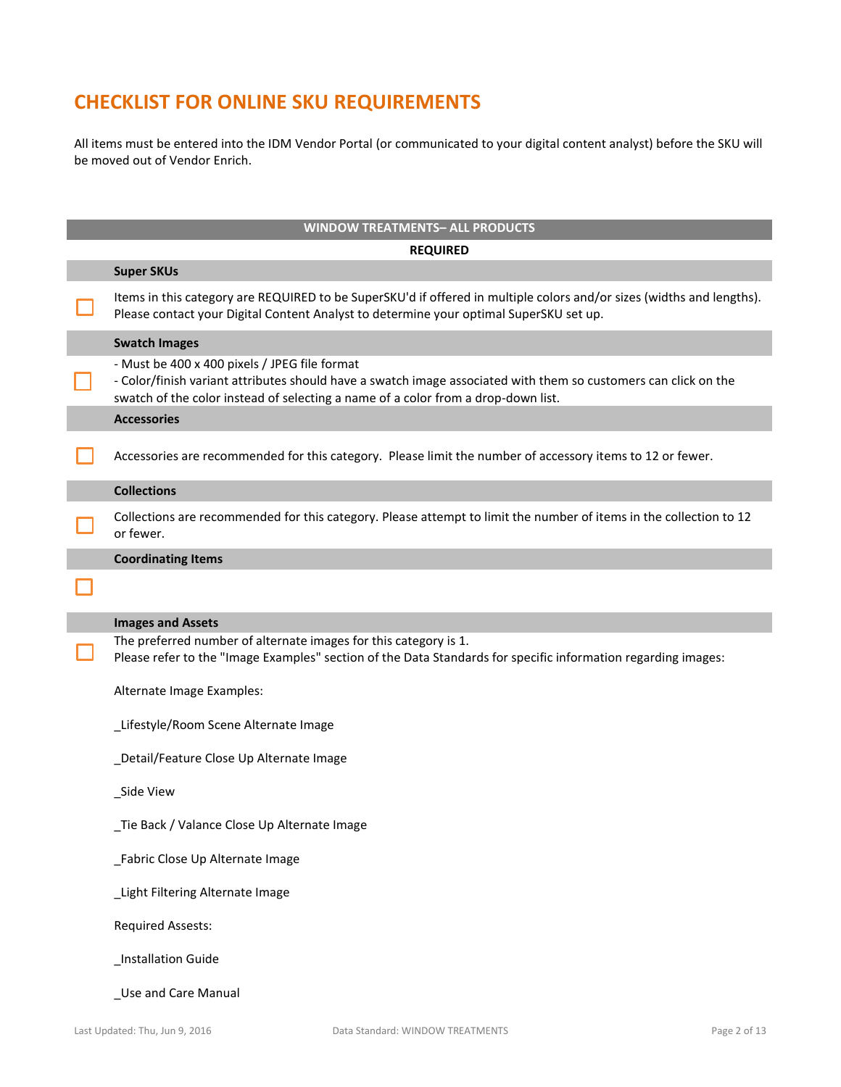## **CHECKLIST FOR ONLINE SKU REQUIREMENTS**

All items must be entered into the IDM Vendor Portal (or communicated to your digital content analyst) before the SKU will be moved out of Vendor Enrich.

| <b>WINDOW TREATMENTS- ALL PRODUCTS</b>                                                                                                                                                                                                                |  |  |  |  |  |  |
|-------------------------------------------------------------------------------------------------------------------------------------------------------------------------------------------------------------------------------------------------------|--|--|--|--|--|--|
| <b>REQUIRED</b>                                                                                                                                                                                                                                       |  |  |  |  |  |  |
| <b>Super SKUs</b>                                                                                                                                                                                                                                     |  |  |  |  |  |  |
| Items in this category are REQUIRED to be SuperSKU'd if offered in multiple colors and/or sizes (widths and lengths).<br>Please contact your Digital Content Analyst to determine your optimal SuperSKU set up.                                       |  |  |  |  |  |  |
| <b>Swatch Images</b>                                                                                                                                                                                                                                  |  |  |  |  |  |  |
| - Must be 400 x 400 pixels / JPEG file format<br>- Color/finish variant attributes should have a swatch image associated with them so customers can click on the<br>swatch of the color instead of selecting a name of a color from a drop-down list. |  |  |  |  |  |  |
| <b>Accessories</b>                                                                                                                                                                                                                                    |  |  |  |  |  |  |
| Accessories are recommended for this category. Please limit the number of accessory items to 12 or fewer.                                                                                                                                             |  |  |  |  |  |  |
| <b>Collections</b>                                                                                                                                                                                                                                    |  |  |  |  |  |  |
| Collections are recommended for this category. Please attempt to limit the number of items in the collection to 12<br>or fewer.                                                                                                                       |  |  |  |  |  |  |
| <b>Coordinating Items</b>                                                                                                                                                                                                                             |  |  |  |  |  |  |
|                                                                                                                                                                                                                                                       |  |  |  |  |  |  |
|                                                                                                                                                                                                                                                       |  |  |  |  |  |  |
| <b>Images and Assets</b><br>The preferred number of alternate images for this category is 1.<br>Please refer to the "Image Examples" section of the Data Standards for specific information regarding images:                                         |  |  |  |  |  |  |
| Alternate Image Examples:                                                                                                                                                                                                                             |  |  |  |  |  |  |
| Lifestyle/Room Scene Alternate Image                                                                                                                                                                                                                  |  |  |  |  |  |  |
| _Detail/Feature Close Up Alternate Image                                                                                                                                                                                                              |  |  |  |  |  |  |
| _Side View                                                                                                                                                                                                                                            |  |  |  |  |  |  |
| _Tie Back / Valance Close Up Alternate Image                                                                                                                                                                                                          |  |  |  |  |  |  |
| _Fabric Close Up Alternate Image                                                                                                                                                                                                                      |  |  |  |  |  |  |
| Light Filtering Alternate Image                                                                                                                                                                                                                       |  |  |  |  |  |  |
| <b>Required Assests:</b>                                                                                                                                                                                                                              |  |  |  |  |  |  |
| _Installation Guide                                                                                                                                                                                                                                   |  |  |  |  |  |  |
| _Use and Care Manual                                                                                                                                                                                                                                  |  |  |  |  |  |  |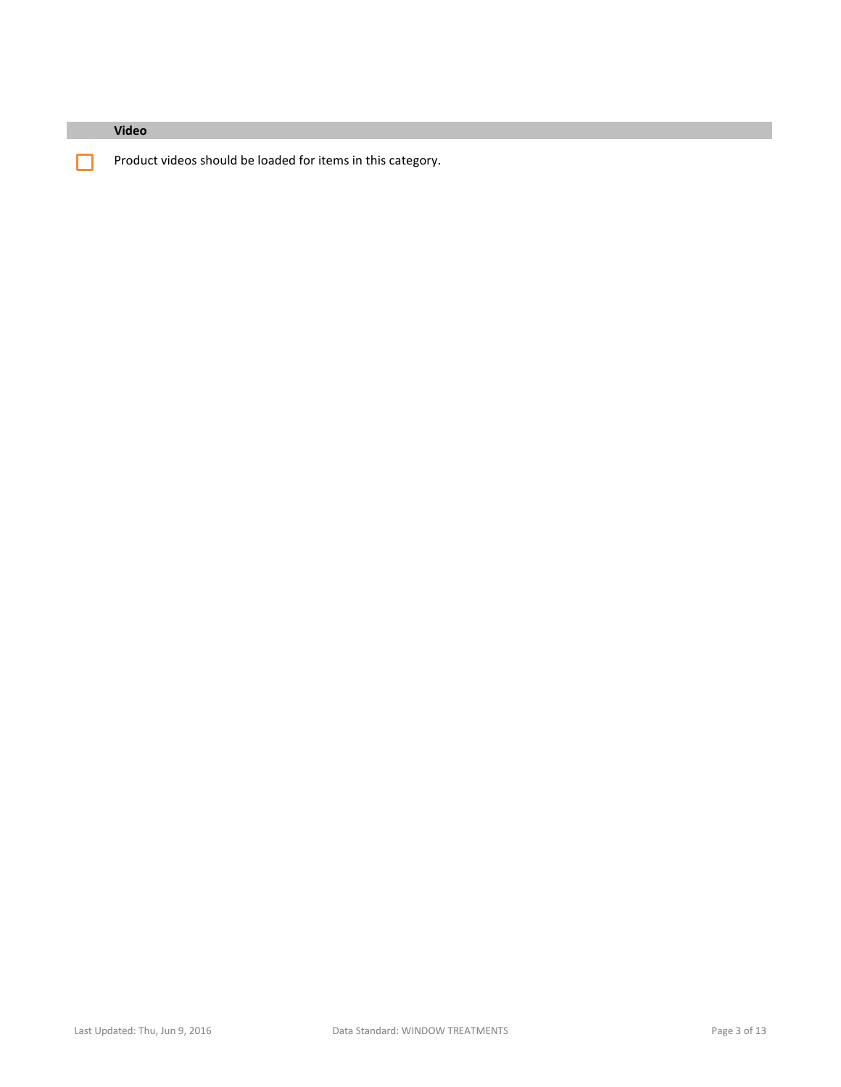| Video                                                       |
|-------------------------------------------------------------|
| Product videos should be loaded for items in this category. |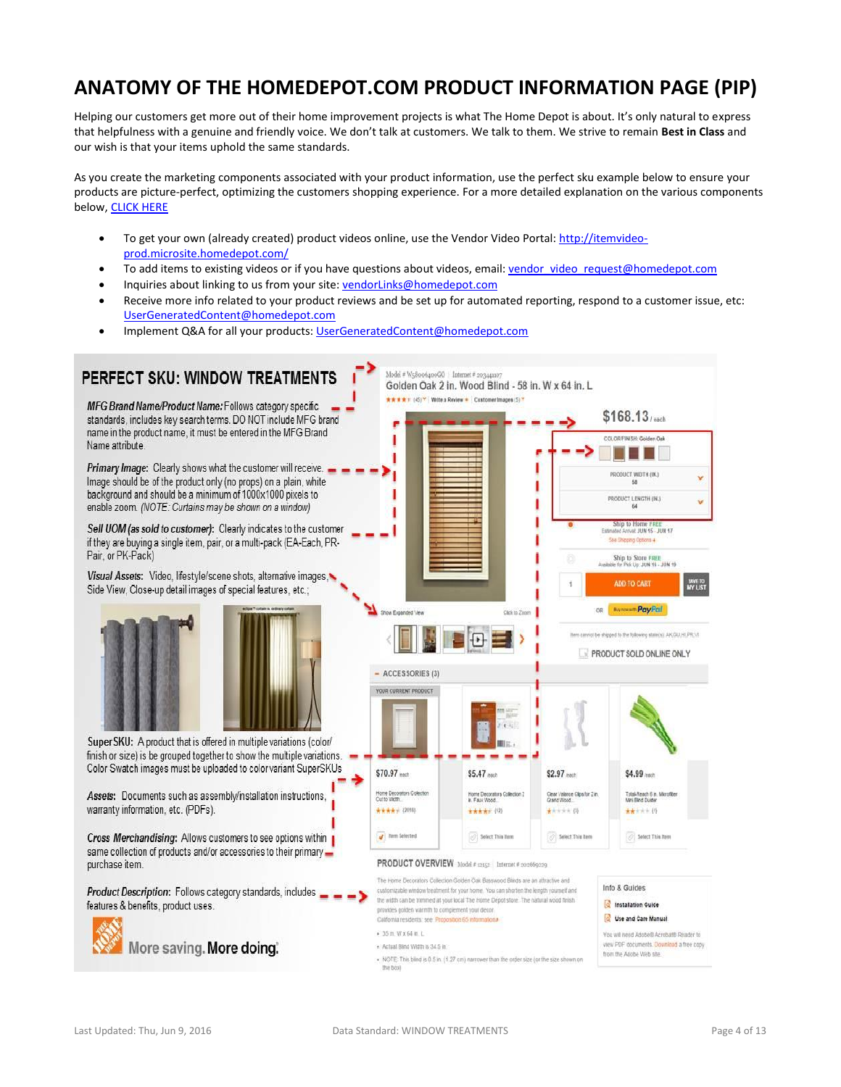## **ANATOMY OF THE HOMEDEPOT.COM PRODUCT INFORMATION PAGE (PIP)**

Helping our customers get more out of their home improvement projects is what The Home Depot is about. It's only natural to express that helpfulness with a genuine and friendly voice. We don't talk at customers. We talk to them. We strive to remain **Best in Class** and our wish is that your items uphold the same standards.

As you create the marketing components associated with your product information, use the perfect sku example below to ensure your products are picture-perfect, optimizing the customers shopping experience. For a more detailed explanation on the various components below[, CLICK HERE](https://homedepotlink.homedepot.com/en-us/Data%20Standards%20Library/Supplemental%20Documents/Perfect%20SKU%20Enrichment%20Recommendations.pdf)

- To get your own (already created) product videos online, use the Vendor Video Portal[: http://itemvideo](http://itemvideo-prod.microsite.homedepot.com/)[prod.microsite.homedepot.com/](http://itemvideo-prod.microsite.homedepot.com/)
- To add items to existing videos or if you have questions about videos, email: vendor video request@homedepot.com
- Inquiries about linking to us from your site[: vendorLinks@homedepot.com](mailto:vendorLinks@homedepot.com)
- Receive more info related to your product reviews and be set up for automated reporting, respond to a customer issue, etc: [UserGeneratedContent@homedepot.com](mailto:UserGeneratedContent@homedepot.com)
- Implement Q&A for all your products[: UserGeneratedContent@homedepot.com](mailto:UserGeneratedContent@homedepot.com)

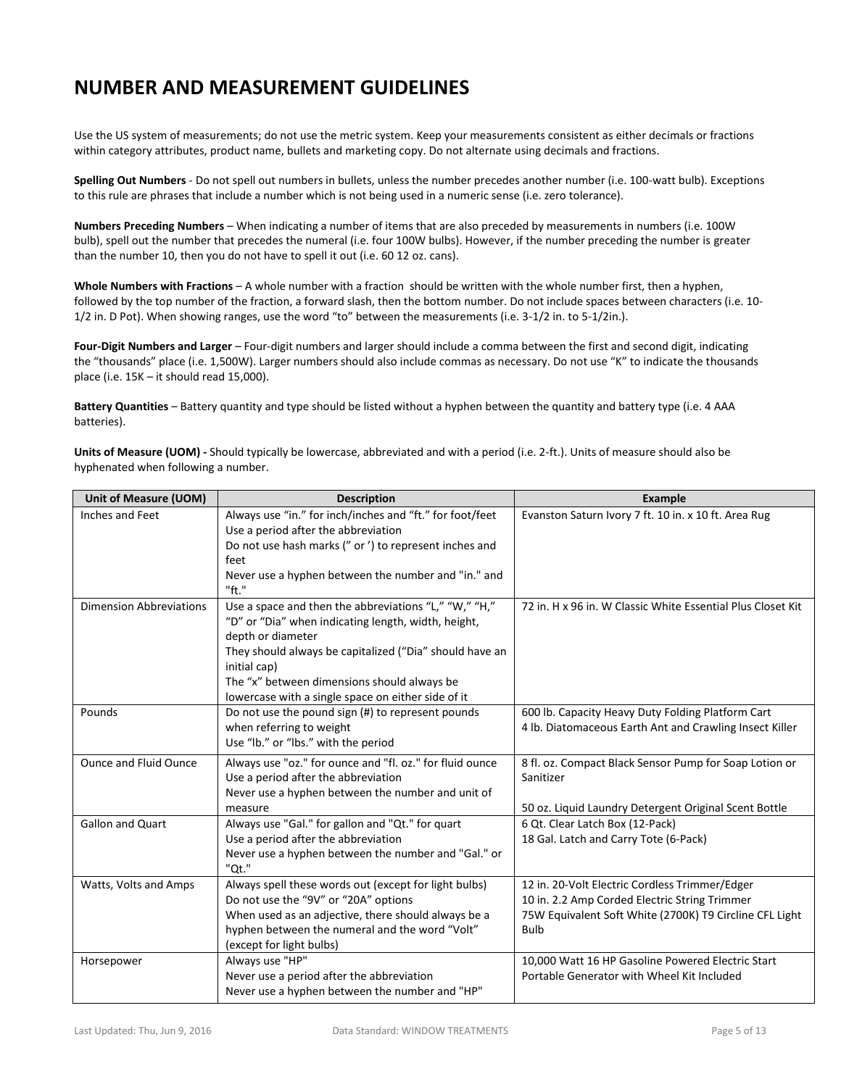## **NUMBER AND MEASUREMENT GUIDELINES**

Use the US system of measurements; do not use the metric system. Keep your measurements consistent as either decimals or fractions within category attributes, product name, bullets and marketing copy. Do not alternate using decimals and fractions.

**Spelling Out Numbers** - Do not spell out numbers in bullets, unless the number precedes another number (i.e. 100-watt bulb). Exceptions to this rule are phrases that include a number which is not being used in a numeric sense (i.e. zero tolerance).

**Numbers Preceding Numbers** – When indicating a number of items that are also preceded by measurements in numbers (i.e. 100W bulb), spell out the number that precedes the numeral (i.e. four 100W bulbs). However, if the number preceding the number is greater than the number 10, then you do not have to spell it out (i.e. 60 12 oz. cans).

**Whole Numbers with Fractions** – A whole number with a fraction should be written with the whole number first, then a hyphen, followed by the top number of the fraction, a forward slash, then the bottom number. Do not include spaces between characters (i.e. 10- 1/2 in. D Pot). When showing ranges, use the word "to" between the measurements (i.e. 3-1/2 in. to 5-1/2in.).

**Four-Digit Numbers and Larger** – Four-digit numbers and larger should include a comma between the first and second digit, indicating the "thousands" place (i.e. 1,500W). Larger numbers should also include commas as necessary. Do not use "K" to indicate the thousands place (i.e. 15K – it should read 15,000).

**Battery Quantities** – Battery quantity and type should be listed without a hyphen between the quantity and battery type (i.e. 4 AAA batteries).

**Units of Measure (UOM) -** Should typically be lowercase, abbreviated and with a period (i.e. 2-ft.). Units of measure should also be hyphenated when following a number.

| Unit of Measure (UOM)<br><b>Description</b>                                                                                                                                                                                                                 |                                                                                                                                                                                                                                                                                                                   | <b>Example</b>                                                                                                                                                            |  |
|-------------------------------------------------------------------------------------------------------------------------------------------------------------------------------------------------------------------------------------------------------------|-------------------------------------------------------------------------------------------------------------------------------------------------------------------------------------------------------------------------------------------------------------------------------------------------------------------|---------------------------------------------------------------------------------------------------------------------------------------------------------------------------|--|
| Inches and Feet                                                                                                                                                                                                                                             | Always use "in." for inch/inches and "ft." for foot/feet<br>Use a period after the abbreviation<br>Do not use hash marks (" or ') to represent inches and                                                                                                                                                         | Evanston Saturn Ivory 7 ft. 10 in. x 10 ft. Area Rug                                                                                                                      |  |
|                                                                                                                                                                                                                                                             | feet<br>Never use a hyphen between the number and "in." and<br>"ft."                                                                                                                                                                                                                                              |                                                                                                                                                                           |  |
| <b>Dimension Abbreviations</b>                                                                                                                                                                                                                              | Use a space and then the abbreviations "L," "W," "H,"<br>"D" or "Dia" when indicating length, width, height,<br>depth or diameter<br>They should always be capitalized ("Dia" should have an<br>initial cap)<br>The "x" between dimensions should always be<br>lowercase with a single space on either side of it | 72 in. H x 96 in. W Classic White Essential Plus Closet Kit                                                                                                               |  |
| Pounds                                                                                                                                                                                                                                                      | Do not use the pound sign (#) to represent pounds<br>when referring to weight<br>Use "lb." or "lbs." with the period                                                                                                                                                                                              | 600 lb. Capacity Heavy Duty Folding Platform Cart<br>4 lb. Diatomaceous Earth Ant and Crawling Insect Killer                                                              |  |
| <b>Ounce and Fluid Ounce</b>                                                                                                                                                                                                                                | Always use "oz." for ounce and "fl. oz." for fluid ounce<br>Use a period after the abbreviation<br>Never use a hyphen between the number and unit of<br>measure                                                                                                                                                   | 8 fl. oz. Compact Black Sensor Pump for Soap Lotion or<br>Sanitizer<br>50 oz. Liquid Laundry Detergent Original Scent Bottle                                              |  |
| Gallon and Quart<br>Always use "Gal." for gallon and "Qt." for quart<br>Use a period after the abbreviation<br>Never use a hyphen between the number and "Gal." or<br>"Qt."                                                                                 |                                                                                                                                                                                                                                                                                                                   | 6 Qt. Clear Latch Box (12-Pack)<br>18 Gal. Latch and Carry Tote (6-Pack)                                                                                                  |  |
| Always spell these words out (except for light bulbs)<br>Watts, Volts and Amps<br>Do not use the "9V" or "20A" options<br>When used as an adjective, there should always be a<br>hyphen between the numeral and the word "Volt"<br>(except for light bulbs) |                                                                                                                                                                                                                                                                                                                   | 12 in. 20-Volt Electric Cordless Trimmer/Edger<br>10 in. 2.2 Amp Corded Electric String Trimmer<br>75W Equivalent Soft White (2700K) T9 Circline CFL Light<br><b>Bulb</b> |  |
| Horsepower                                                                                                                                                                                                                                                  | Always use "HP"<br>Never use a period after the abbreviation<br>Never use a hyphen between the number and "HP"                                                                                                                                                                                                    | 10,000 Watt 16 HP Gasoline Powered Electric Start<br>Portable Generator with Wheel Kit Included                                                                           |  |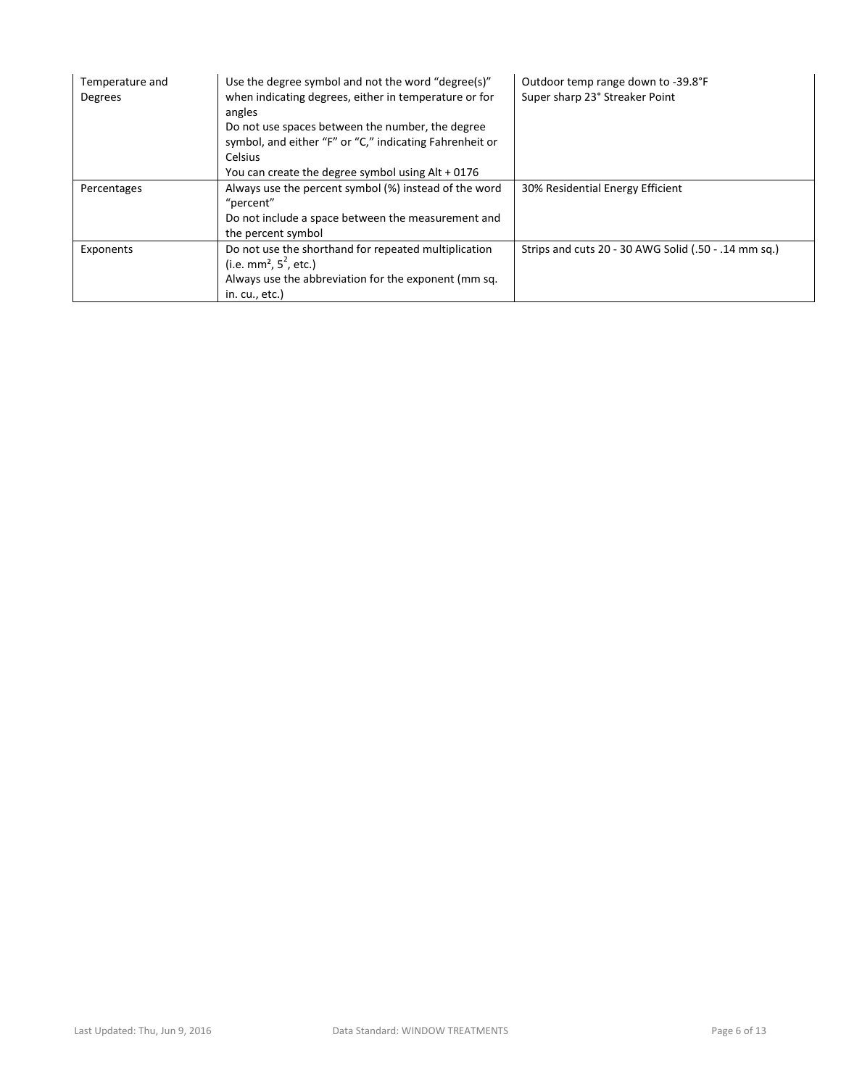| Temperature and<br>Degrees | Use the degree symbol and not the word "degree(s)"<br>when indicating degrees, either in temperature or for<br>angles<br>Do not use spaces between the number, the degree<br>symbol, and either "F" or "C," indicating Fahrenheit or<br><b>Celsius</b><br>You can create the degree symbol using Alt + 0176 | Outdoor temp range down to -39.8°F<br>Super sharp 23° Streaker Point |
|----------------------------|-------------------------------------------------------------------------------------------------------------------------------------------------------------------------------------------------------------------------------------------------------------------------------------------------------------|----------------------------------------------------------------------|
| Percentages                | Always use the percent symbol (%) instead of the word<br>"percent"<br>Do not include a space between the measurement and<br>the percent symbol                                                                                                                                                              | 30% Residential Energy Efficient                                     |
| Exponents                  | Do not use the shorthand for repeated multiplication<br>(i.e. mm <sup>2</sup> , $5^2$ , etc.)<br>Always use the abbreviation for the exponent (mm sq.<br>in. cu., etc.)                                                                                                                                     | Strips and cuts 20 - 30 AWG Solid (.50 - .14 mm sq.)                 |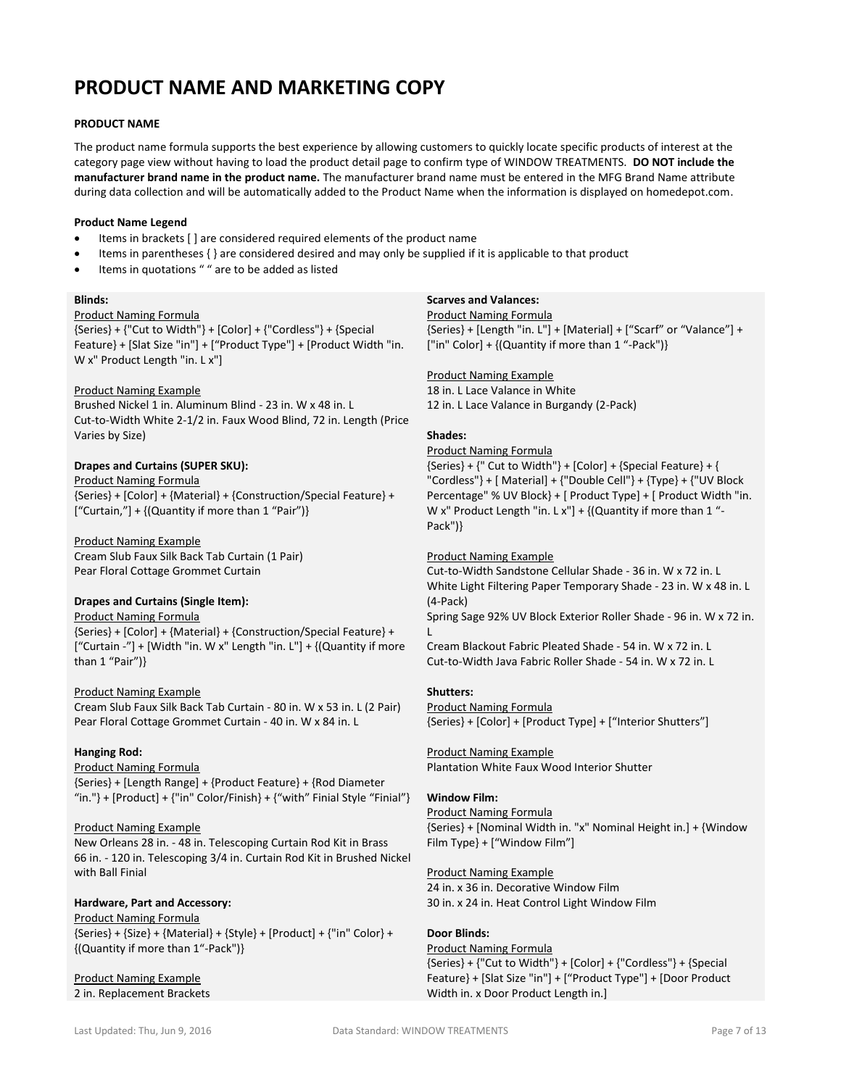## **PRODUCT NAME AND MARKETING COPY**

#### **PRODUCT NAME**

The product name formula supports the best experience by allowing customers to quickly locate specific products of interest at the category page view without having to load the product detail page to confirm type of WINDOW TREATMENTS. **DO NOT include the manufacturer brand name in the product name.** The manufacturer brand name must be entered in the MFG Brand Name attribute during data collection and will be automatically added to the Product Name when the information is displayed on homedepot.com.

#### **Product Name Legend**

- Items in brackets [ ] are considered required elements of the product name
- Items in parentheses { } are considered desired and may only be supplied if it is applicable to that product
- Items in quotations " " are to be added as listed

#### **Blinds:**

#### Product Naming Formula

{Series} + {"Cut to Width"} + [Color] + {"Cordless"} + {Special Feature} + [Slat Size "in"] + ["Product Type"] + [Product Width "in. W x" Product Length "in. L x"]

## Product Naming Example

Brushed Nickel 1 in. Aluminum Blind - 23 in. W x 48 in. L Cut-to-Width White 2-1/2 in. Faux Wood Blind, 72 in. Length (Price Varies by Size)

#### **Drapes and Curtains (SUPER SKU):**

#### Product Naming Formula

{Series} + [Color] + {Material} + {Construction/Special Feature} + ["Curtain,"] + {(Quantity if more than 1 "Pair")}

#### Product Naming Example

Cream Slub Faux Silk Back Tab Curtain (1 Pair) Pear Floral Cottage Grommet Curtain

## **Drapes and Curtains (Single Item):**

#### Product Naming Formula

{Series} + [Color] + {Material} + {Construction/Special Feature} + ["Curtain -"] + [Width "in. W x" Length "in. L"] + {(Quantity if more than 1 "Pair")}

#### Product Naming Example

Cream Slub Faux Silk Back Tab Curtain - 80 in. W x 53 in. L (2 Pair) Pear Floral Cottage Grommet Curtain - 40 in. W x 84 in. L

## **Hanging Rod:**

Product Naming Formula {Series} + [Length Range] + {Product Feature} + {Rod Diameter "in."} + [Product] +  ${\text{}}$ "in" Color/Finish} +  ${\text{}}'$ with" Finial Style "Finial"}

## Product Naming Example

New Orleans 28 in. - 48 in. Telescoping Curtain Rod Kit in Brass 66 in. - 120 in. Telescoping 3/4 in. Curtain Rod Kit in Brushed Nickel with Ball Finial

## **Hardware, Part and Accessory:**

Product Naming Formula {Series} + {Size} + {Material} + {Style} + [Product] + {"in" Color} + {(Quantity if more than 1"-Pack")}

#### Product Naming Example 2 in. Replacement Brackets

#### **Scarves and Valances:**

#### Product Naming Formula

{Series} + [Length "in. L"] + [Material] + ["Scarf" or "Valance"] + ["in" Color] + {(Quantity if more than 1 "-Pack")}

## Product Naming Example

18 in. L Lace Valance in White 12 in. L Lace Valance in Burgandy (2-Pack)

## **Shades:**

#### Product Naming Formula

 ${Series} + {''$  Cut to Width"} +  $[Color] + {Special Feature} + {$ "Cordless"} + [ Material] + {"Double Cell"} + {Type} + {"UV Block Percentage" % UV Block} + [ Product Type] + [ Product Width "in. W x" Product Length "in. L x"] + {(Quantity if more than 1 "-Pack")}

#### Product Naming Example

Cut-to-Width Sandstone Cellular Shade - 36 in. W x 72 in. L White Light Filtering Paper Temporary Shade - 23 in. W x 48 in. L (4-Pack) Spring Sage 92% UV Block Exterior Roller Shade - 96 in. W x 72 in.  $\mathbf{L}$ 

Cream Blackout Fabric Pleated Shade - 54 in. W x 72 in. L Cut-to-Width Java Fabric Roller Shade - 54 in. W x 72 in. L

## **Shutters:**

Product Naming Formula {Series} + [Color] + [Product Type] + ["Interior Shutters"]

## Product Naming Example

Plantation White Faux Wood Interior Shutter

## **Window Film:**

### Product Naming Formula

{Series} + [Nominal Width in. "x" Nominal Height in.] + {Window Film Type} + ["Window Film"]

#### Product Naming Example

24 in. x 36 in. Decorative Window Film 30 in. x 24 in. Heat Control Light Window Film

## **Door Blinds:**

Product Naming Formula  ${Series} + {''Cut to Width''} + [Color] + {''Cordless''} + {Special}$ Feature} + [Slat Size "in"] + ["Product Type"] + [Door Product Width in. x Door Product Length in.]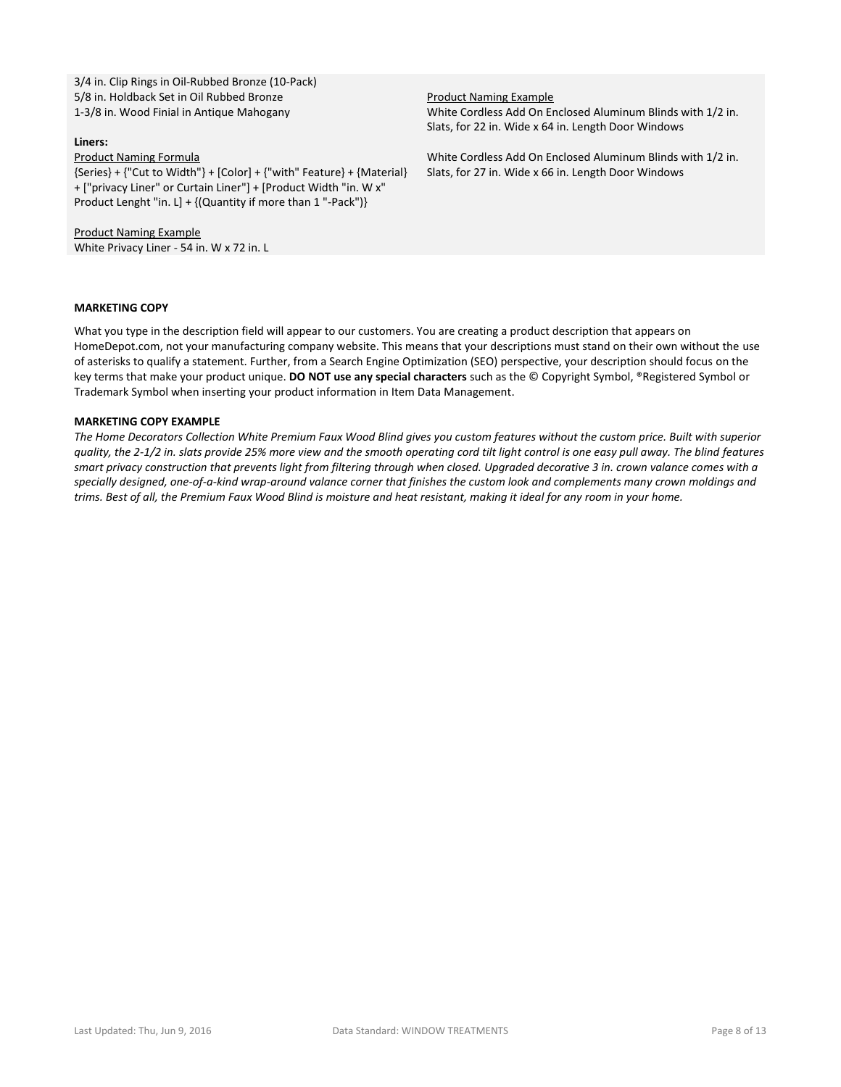3/4 in. Clip Rings in Oil-Rubbed Bronze (10-Pack) 5/8 in. Holdback Set in Oil Rubbed Bronze 1-3/8 in. Wood Finial in Antique Mahogany

#### **Liners:**

Product Naming Formula

{Series} + {"Cut to Width"} + [Color] + {"with" Feature} + {Material} + ["privacy Liner" or Curtain Liner"] + [Product Width "in. W x" Product Lenght "in. L] + {(Quantity if more than 1 "-Pack")}

Product Naming Example White Privacy Liner - 54 in. W x 72 in. L Product Naming Example White Cordless Add On Enclosed Aluminum Blinds with 1/2 in. Slats, for 22 in. Wide x 64 in. Length Door Windows

White Cordless Add On Enclosed Aluminum Blinds with 1/2 in. Slats, for 27 in. Wide x 66 in. Length Door Windows

#### **MARKETING COPY**

What you type in the description field will appear to our customers. You are creating a product description that appears on HomeDepot.com, not your manufacturing company website. This means that your descriptions must stand on their own without the use of asterisks to qualify a statement. Further, from a Search Engine Optimization (SEO) perspective, your description should focus on the key terms that make your product unique. **DO NOT use any special characters** such as the © Copyright Symbol, ®Registered Symbol or Trademark Symbol when inserting your product information in Item Data Management.

#### **MARKETING COPY EXAMPLE**

*The Home Decorators Collection White Premium Faux Wood Blind gives you custom features without the custom price. Built with superior quality, the 2-1/2 in. slats provide 25% more view and the smooth operating cord tilt light control is one easy pull away. The blind features smart privacy construction that prevents light from filtering through when closed. Upgraded decorative 3 in. crown valance comes with a specially designed, one-of-a-kind wrap-around valance corner that finishes the custom look and complements many crown moldings and trims. Best of all, the Premium Faux Wood Blind is moisture and heat resistant, making it ideal for any room in your home.*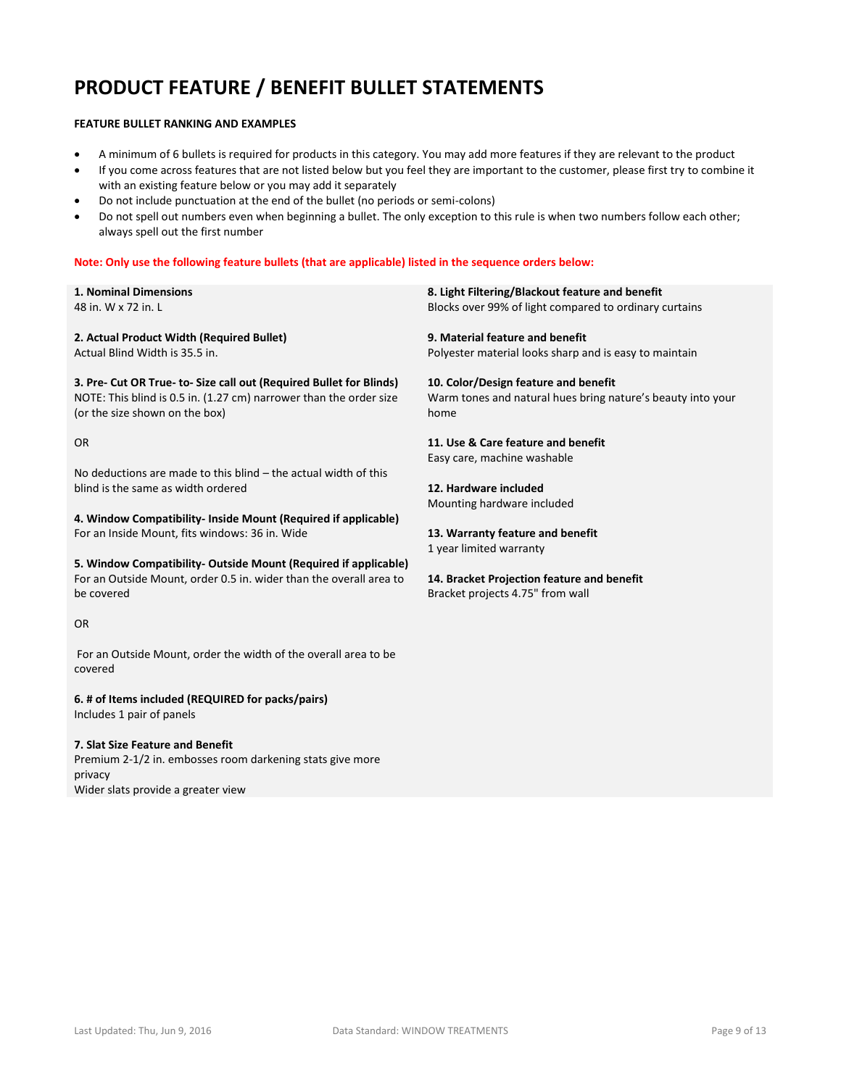## **PRODUCT FEATURE / BENEFIT BULLET STATEMENTS**

#### **FEATURE BULLET RANKING AND EXAMPLES**

- A minimum of 6 bullets is required for products in this category. You may add more features if they are relevant to the product
- If you come across features that are not listed below but you feel they are important to the customer, please first try to combine it with an existing feature below or you may add it separately
- Do not include punctuation at the end of the bullet (no periods or semi-colons)
- Do not spell out numbers even when beginning a bullet. The only exception to this rule is when two numbers follow each other; always spell out the first number

#### **Note: Only use the following feature bullets (that are applicable) listed in the sequence orders below:**

**1. Nominal Dimensions** 48 in. W x 72 in. L

**2. Actual Product Width (Required Bullet)** Actual Blind Width is 35.5 in.

**3. Pre- Cut OR True- to- Size call out (Required Bullet for Blinds)** NOTE: This blind is 0.5 in. (1.27 cm) narrower than the order size (or the size shown on the box)

#### OR

No deductions are made to this blind – the actual width of this blind is the same as width ordered

**4. Window Compatibility- Inside Mount (Required if applicable)** For an Inside Mount, fits windows: 36 in. Wide

**5. Window Compatibility- Outside Mount (Required if applicable)** For an Outside Mount, order 0.5 in. wider than the overall area to be covered

#### OR

For an Outside Mount, order the width of the overall area to be covered

#### **6. # of Items included (REQUIRED for packs/pairs)**

Includes 1 pair of panels

#### **7. Slat Size Feature and Benefit**

Premium 2-1/2 in. embosses room darkening stats give more privacy Wider slats provide a greater view

**8. Light Filtering/Blackout feature and benefit** Blocks over 99% of light compared to ordinary curtains

**9. Material feature and benefit** Polyester material looks sharp and is easy to maintain

**10. Color/Design feature and benefit** Warm tones and natural hues bring nature's beauty into your home

**11. Use & Care feature and benefit** Easy care, machine washable

**12. Hardware included** Mounting hardware included

**13. Warranty feature and benefit** 1 year limited warranty

**14. Bracket Projection feature and benefit** Bracket projects 4.75" from wall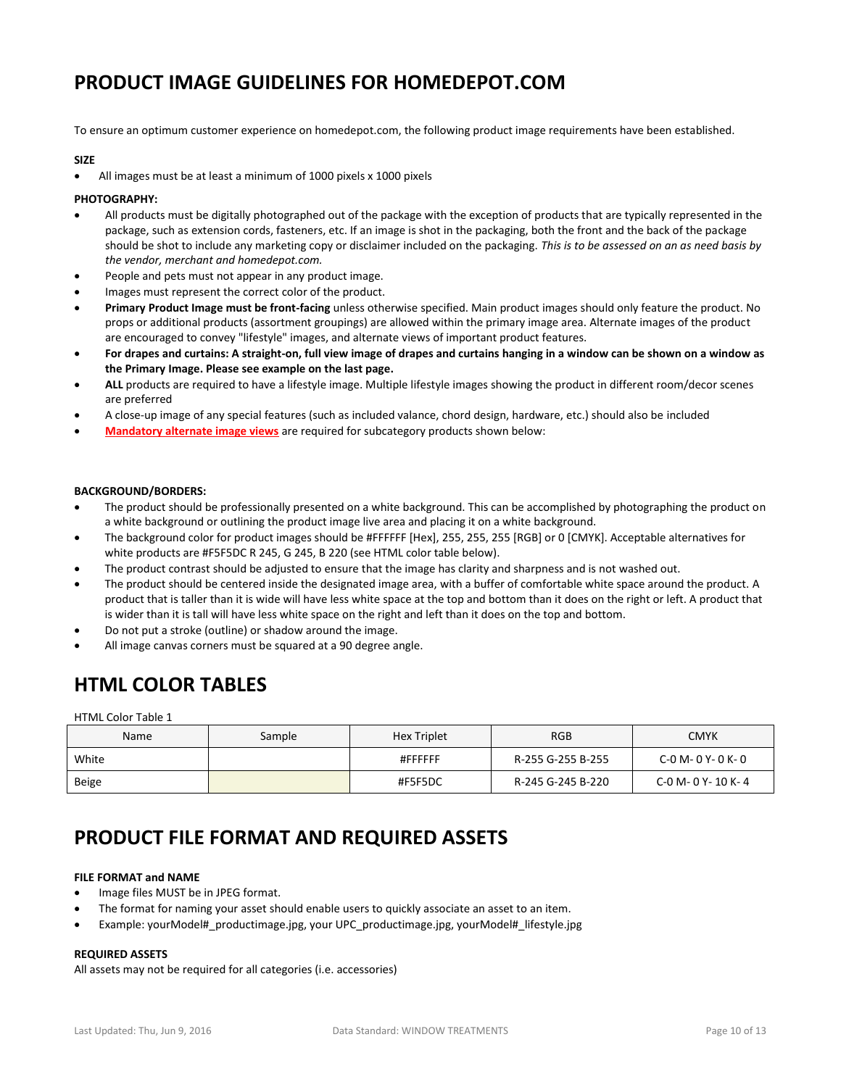## **PRODUCT IMAGE GUIDELINES FOR HOMEDEPOT.COM**

To ensure an optimum customer experience on homedepot.com, the following product image requirements have been established.

#### **SIZE**

All images must be at least a minimum of 1000 pixels x 1000 pixels

#### **PHOTOGRAPHY:**

- All products must be digitally photographed out of the package with the exception of products that are typically represented in the package, such as extension cords, fasteners, etc. If an image is shot in the packaging, both the front and the back of the package should be shot to include any marketing copy or disclaimer included on the packaging. *This is to be assessed on an as need basis by the vendor, merchant and homedepot.com.*
- People and pets must not appear in any product image.
- Images must represent the correct color of the product.
- **Primary Product Image must be front-facing** unless otherwise specified. Main product images should only feature the product. No props or additional products (assortment groupings) are allowed within the primary image area. Alternate images of the product are encouraged to convey "lifestyle" images, and alternate views of important product features.
- **For drapes and curtains: A straight-on, full view image of drapes and curtains hanging in a window can be shown on a window as the Primary Image. Please see example on the last page.**
- **ALL** products are required to have a lifestyle image. Multiple lifestyle images showing the product in different room/decor scenes are preferred
- A close-up image of any special features (such as included valance, chord design, hardware, etc.) should also be included
- **Mandatory alternate image views** are required for subcategory products shown below:

#### **BACKGROUND/BORDERS:**

- The product should be professionally presented on a white background. This can be accomplished by photographing the product on a white background or outlining the product image live area and placing it on a white background.
- The background color for product images should be #FFFFFF [Hex], 255, 255, 255 [RGB] or 0 [CMYK]. Acceptable alternatives for white products are #F5F5DC R 245, G 245, B 220 (see HTML color table below).
- The product contrast should be adjusted to ensure that the image has clarity and sharpness and is not washed out.
- The product should be centered inside the designated image area, with a buffer of comfortable white space around the product. A product that is taller than it is wide will have less white space at the top and bottom than it does on the right or left. A product that is wider than it is tall will have less white space on the right and left than it does on the top and bottom.
- Do not put a stroke (outline) or shadow around the image.
- All image canvas corners must be squared at a 90 degree angle.

## **HTML COLOR TABLES**

HTML Color Table 1

| Name  | Sample | <b>Hex Triplet</b> | <b>RGB</b>        | <b>CMYK</b>               |
|-------|--------|--------------------|-------------------|---------------------------|
| White |        | #FFFFFF            | R-255 G-255 B-255 | $C - 0 M - 0 Y - 0 K - 0$ |
| Beige |        | #F5F5DC            | R-245 G-245 B-220 | C-0 M- 0 Y- 10 K- 4       |

## **PRODUCT FILE FORMAT AND REQUIRED ASSETS**

#### **FILE FORMAT and NAME**

- Image files MUST be in JPEG format.
- The format for naming your asset should enable users to quickly associate an asset to an item.
- Example: yourModel#\_productimage.jpg, your UPC\_productimage.jpg, yourModel#\_lifestyle.jpg

#### **REQUIRED ASSETS**

All assets may not be required for all categories (i.e. accessories)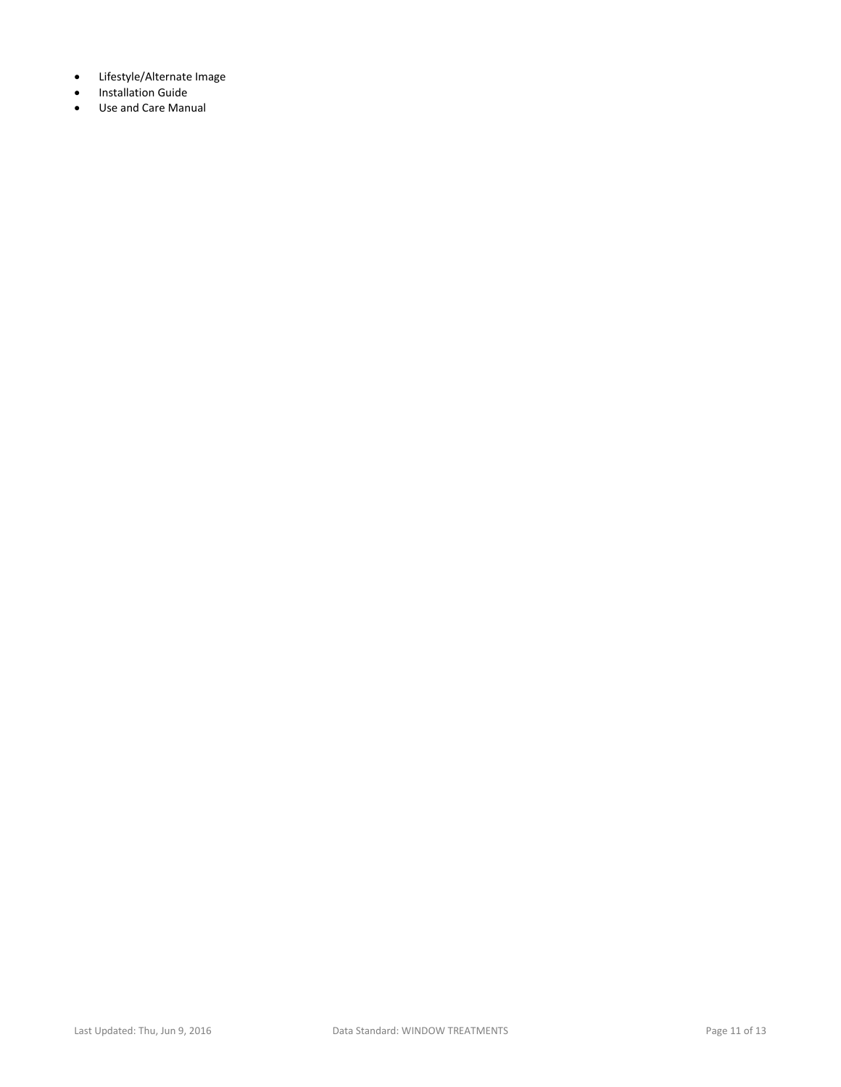- Lifestyle/Alternate Image
- **•** Installation Guide
- Use and Care Manual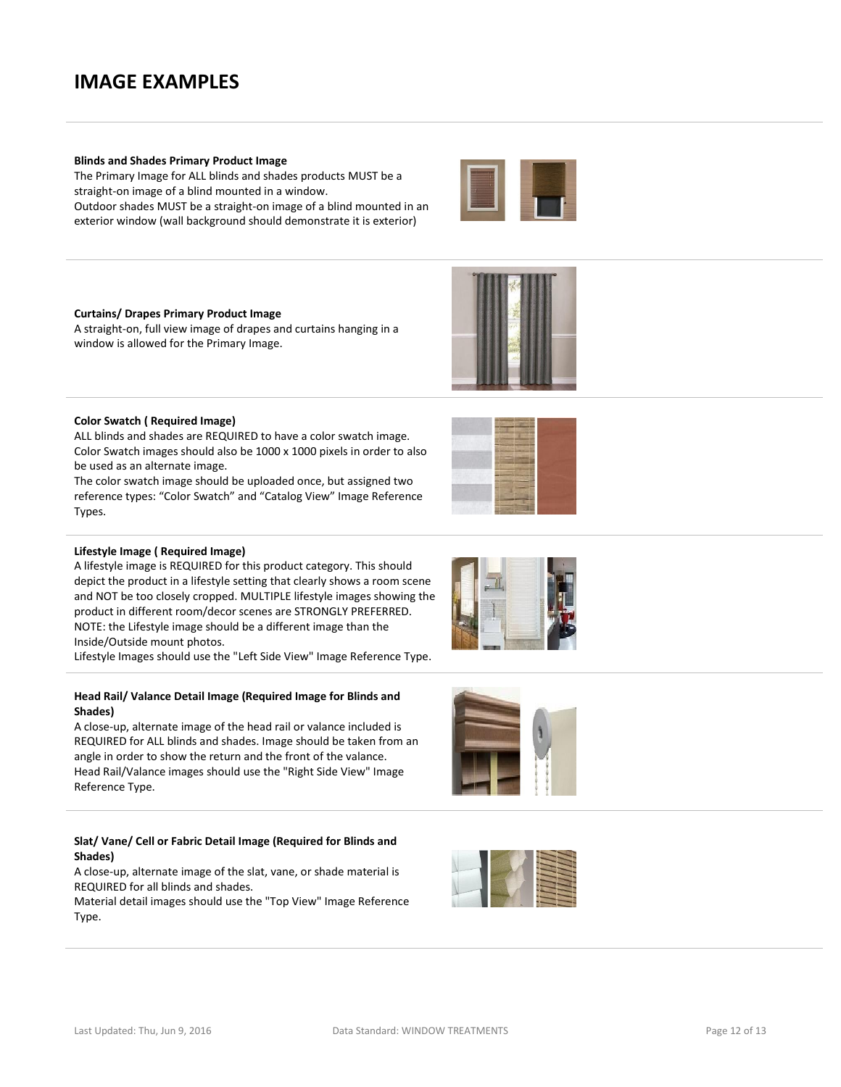## **IMAGE EXAMPLES**

## **Blinds and Shades Primary Product Image**

The Primary Image for ALL blinds and shades products MUST be a straight-on image of a blind mounted in a window.

Outdoor shades MUST be a straight-on image of a blind mounted in an exterior window (wall background should demonstrate it is exterior)

#### **Curtains/ Drapes Primary Product Image**

A straight-on, full view image of drapes and curtains hanging in a window is allowed for the Primary Image.

#### **Color Swatch ( Required Image)**

ALL blinds and shades are REQUIRED to have a color swatch image. Color Swatch images should also be 1000 x 1000 pixels in order to also be used as an alternate image.

The color swatch image should be uploaded once, but assigned two reference types: "Color Swatch" and "Catalog View" Image Reference Types.

#### **Lifestyle Image ( Required Image)**

A lifestyle image is REQUIRED for this product category. This should depict the product in a lifestyle setting that clearly shows a room scene and NOT be too closely cropped. MULTIPLE lifestyle images showing the product in different room/decor scenes are STRONGLY PREFERRED. NOTE: the Lifestyle image should be a different image than the Inside/Outside mount photos.

Lifestyle Images should use the "Left Side View" Image Reference Type.

#### **Head Rail/ Valance Detail Image (Required Image for Blinds and Shades)**

A close-up, alternate image of the head rail or valance included is REQUIRED for ALL blinds and shades. Image should be taken from an angle in order to show the return and the front of the valance. Head Rail/Valance images should use the "Right Side View" Image Reference Type.

## **Slat/ Vane/ Cell or Fabric Detail Image (Required for Blinds and Shades)**

A close-up, alternate image of the slat, vane, or shade material is REQUIRED for all blinds and shades.

Material detail images should use the "Top View" Image Reference Type.